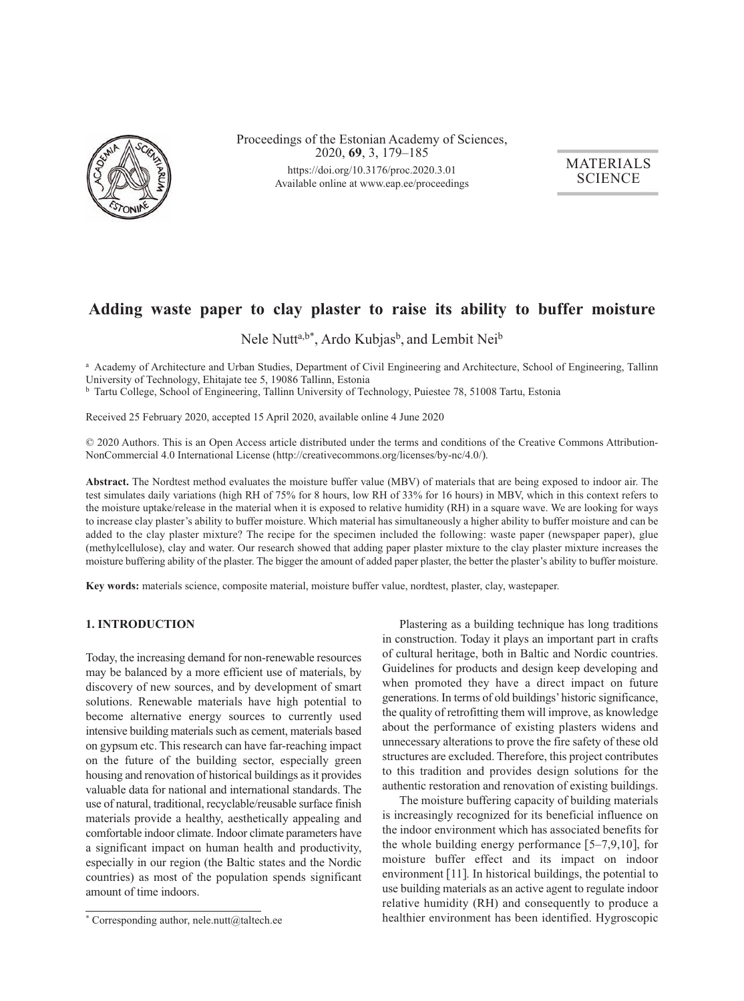

Proceedings of the Estonian Academy of Sciences, 2020, **69**, 3, 179–185 https://doi.org/10.3176/proc.2020.3.01 Available online at www.eap.ee/proceedings

MATERIALS **SCIENCE** 

# **Adding waste paper to clay plaster to raise its ability to buffer moisture**

Nele Nutt<sup>a,b\*</sup>, Ardo Kubjas<sup>b</sup>, and Lembit Nei<sup>b</sup>

a Academy of Architecture and Urban Studies, Department of Civil Engineering and Architecture, School of Engineering, Tallinn University of Technology, Ehitajate tee 5, 19086 Tallinn, Estonia

<sup>b</sup> Tartu College, School of Engineering, Tallinn University of Technology, Puiestee 78, 51008 Tartu, Estonia

Received 25 February 2020, accepted 15 April 2020, available online 4 June 2020

© 2020 Authors. This is an Open Access article distributed under the terms and conditions of the Creative Commons Attribution-NonCommercial 4.0 International License (http://creativecommons.org/licenses/by-nc/4.0/).

**Abstract.** The Nordtest method evaluates the moisture buffer value (MBV) of materials that are being exposed to indoor air. The test simulates daily variations (high RH of 75% for 8 hours, low RH of 33% for 16 hours) in MBV, which in this context refers to the moisture uptake/release in the material when it is exposed to relative humidity (RH) in a square wave. We are looking for ways to increase clay plaster's ability to buffer moisture. Which material has simultaneously a higher ability to buffer moisture and can be added to the clay plaster mixture? The recipe for the specimen included the following: waste paper (newspaper paper), glue (methylcellulose), clay and water. Our research showed that adding paper plaster mixture to the clay plaster mixture increases the moisture buffering ability of the plaster. The bigger the amount of added paper plaster, the better the plaster's ability to buffer moisture.

**Key words:** materials science, composite material, moisture buffer value, nordtest, plaster, clay, wastepaper.

#### **1. INTRODUCTION**

Today, the increasing demand for non-renewable resources may be balanced by a more efficient use of materials, by discovery of new sources, and by development of smart solutions. Renewable materials have high potential to become alternative energy sources to currently used intensive building materials such as cement, materials based on gypsum etc. This research can have far-reaching impact on the future of the building sector, especially green housing and renovation of historical buildings as it provides valuable data for national and international standards. The use of natural, traditional, recyclable/reusable surface finish materials provide a healthy, aesthetically appealing and comfortable indoor climate. Indoor climate parameters have a significant impact on human health and productivity, especially in our region (the Baltic states and the Nordic countries) as most of the population spends significant amount of time indoors.

Plastering as a building technique has long traditions in construction. Today it plays an important part in crafts of cultural heritage, both in Baltic and Nordic countries. Guidelines for products and design keep developing and when promoted they have a direct impact on future generations. In terms of old buildings' historic significance, the quality of retrofitting them will improve, as knowledge about the performance of existing plasters widens and unnecessary alterations to prove the fire safety of these old structures are excluded. Therefore, this project contributes to this tradition and provides design solutions for the authentic restoration and renovation of existing buildings.

The moisture buffering capacity of building materials is increasingly recognized for its beneficial influence on the indoor environment which has associated benefits for the whole building energy performance  $[5-7,9,10]$ , for moisture buffer effect and its impact on indoor environment [11]. In historical buildings, the potential to use building materials as an active agent to regulate indoor relative humidity (RH) and consequently to produce a healthier environment has been identified. Hygroscopic

 $*$  Corresponding author, nele.nutt@taltech.ee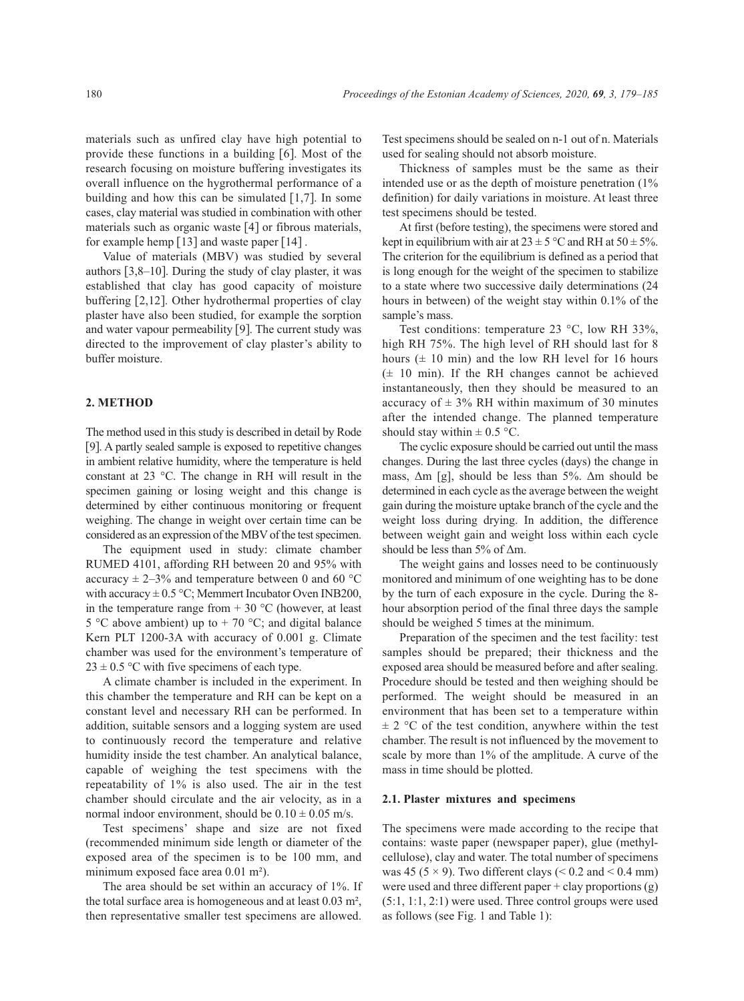materials such as unfired clay have high potential to provide these functions in a building [6]. Most of the research focusing on moisture buffering investigates its overall influence on the hygrothermal performance of a building and how this can be simulated  $[1,7]$ . In some cases, clay material was studied in combination with other materials such as organic waste [4] or fibrous materials, for example hemp [13] and waste paper [14] .

Value of materials (MBV) was studied by several authors [3,8–10]. During the study of clay plaster, it was established that clay has good capacity of moisture buffering [2,12]. Other hydrothermal properties of clay plaster have also been studied, for example the sorption and water vapour permeability [9]. The current study was directed to the improvement of clay plaster's ability to buffer moisture.

#### **2. METHOD**

The method used in this study is described in detail by Rode [9]. A partly sealed sample is exposed to repetitive changes in ambient relative humidity, where the temperature is held constant at 23 °C. The change in RH will result in the specimen gaining or losing weight and this change is determined by either continuous monitoring or frequent weighing. The change in weight over certain time can be considered as an expression of the MBV of the test specimen.

The equipment used in study: climate chamber RUMED 4101, affording RH between 20 and 95% with accuracy  $\pm$  2–3% and temperature between 0 and 60 °C with accuracy  $\pm$  0.5 °C; Memmert Incubator Oven INB200, in the temperature range from  $+ 30$  °C (however, at least 5 °C above ambient) up to  $+$  70 °C; and digital balance Kern PLT 1200-3A with accuracy of 0.001 g. Climate chamber was used for the environment's temperature of  $23 \pm 0.5$  °C with five specimens of each type.

A climate chamber is included in the experiment. In this chamber the temperature and RH can be kept on a constant level and necessary RH can be performed. In addition, suitable sensors and a logging system are used to continuously record the temperature and relative humidity inside the test chamber. An analytical balance, capable of weighing the test specimens with the repeatability of 1% is also used. The air in the test chamber should circulate and the air velocity, as in a normal indoor environment, should be  $0.10 \pm 0.05$  m/s.

Test specimens' shape and size are not fixed (recommended minimum side length or diameter of the exposed area of the specimen is to be 100 mm, and minimum exposed face area 0.01 m²).

The area should be set within an accuracy of 1%. If the total surface area is homogeneous and at least 0.03 m², then representative smaller test specimens are allowed.

Test specimens should be sealed on n-1 out of n. Materials used for sealing should not absorb moisture.

Thickness of samples must be the same as their intended use or as the depth of moisture penetration (1% definition) for daily variations in moisture. At least three test specimens should be tested.

At first (before testing), the specimens were stored and kept in equilibrium with air at  $23 \pm 5$  °C and RH at  $50 \pm 5$ %. The criterion for the equilibrium is defined as a period that is long enough for the weight of the specimen to stabilize to a state where two successive daily determinations (24 hours in between) of the weight stay within 0.1% of the sample's mass.

Test conditions: temperature 23 °C, low RH 33%, high RH 75%. The high level of RH should last for 8 hours  $(\pm 10 \text{ min})$  and the low RH level for 16 hours  $(\pm 10 \text{ min})$ . If the RH changes cannot be achieved instantaneously, then they should be measured to an accuracy of  $\pm$  3% RH within maximum of 30 minutes after the intended change. The planned temperature should stay within  $\pm$  0.5 °C.

The cyclic exposure should be carried out until the mass changes. During the last three cycles (days) the change in mass,  $\Delta m$  [g], should be less than 5%.  $\Delta m$  should be determined in each cycle as the average between the weight gain during the moisture uptake branch of the cycle and the weight loss during drying. In addition, the difference between weight gain and weight loss within each cycle should be less than 5% of Δm.

The weight gains and losses need to be continuously monitored and minimum of one weighting has to be done by the turn of each exposure in the cycle. During the 8 hour absorption period of the final three days the sample should be weighed 5 times at the minimum.

Preparation of the specimen and the test facility: test samples should be prepared; their thickness and the exposed area should be measured before and after sealing. Procedure should be tested and then weighing should be performed. The weight should be measured in an environment that has been set to a temperature within  $\pm$  2 °C of the test condition, anywhere within the test chamber. The result is not influenced by the movement to scale by more than 1% of the amplitude. A curve of the mass in time should be plotted.

#### **2.1. Plaster mixtures and specimens**

The specimens were made according to the recipe that contains: waste paper (newspaper paper), glue (methyl cellulose), clay and water. The total number of specimens was 45 (5  $\times$  9). Two different clays (< 0.2 and < 0.4 mm) were used and three different paper  $+$  clay proportions (g) (5:1, 1:1, 2:1) were used. Three control groups were used as follows (see Fig. 1 and Table 1):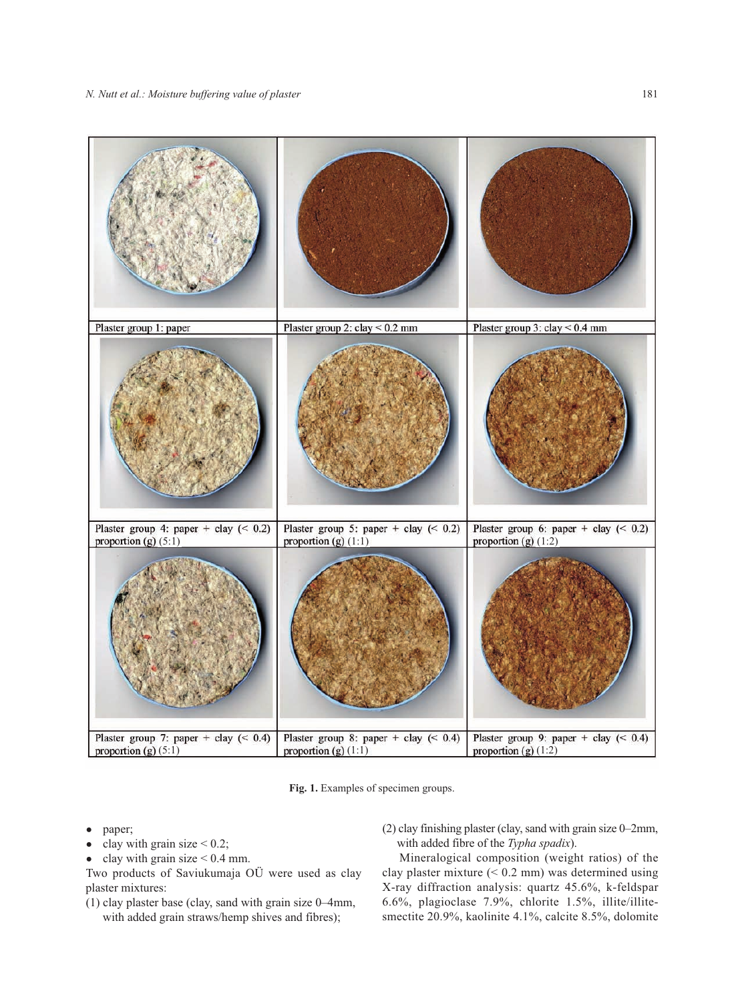

**Fig. 1.** Examples of specimen groups.

- paper;
- clay with grain size  $< 0.2$ ;
- clay with grain size  $< 0.4$  mm.

Two products of Saviukumaja OÜ were used as clay plaster mixtures:

- (1) clay plaster base (clay, sand with grain size 0–4mm, with added grain straws/hemp shives and fibres);
- (2) clay finishing plaster (clay, sand with grain size 0–2mm, with added fibre of the *Typha spadix*).

Mineralogical composition (weight ratios) of the clay plaster mixture (< 0.2 mm) was determined using X-ray diffraction analysis: quartz 45.6%, k-feldspar 6.6%, plagioclase 7.9%, chlorite 1.5%, illite/illitesmectite 20.9%, kaolinite 4.1%, calcite 8.5%, dolomite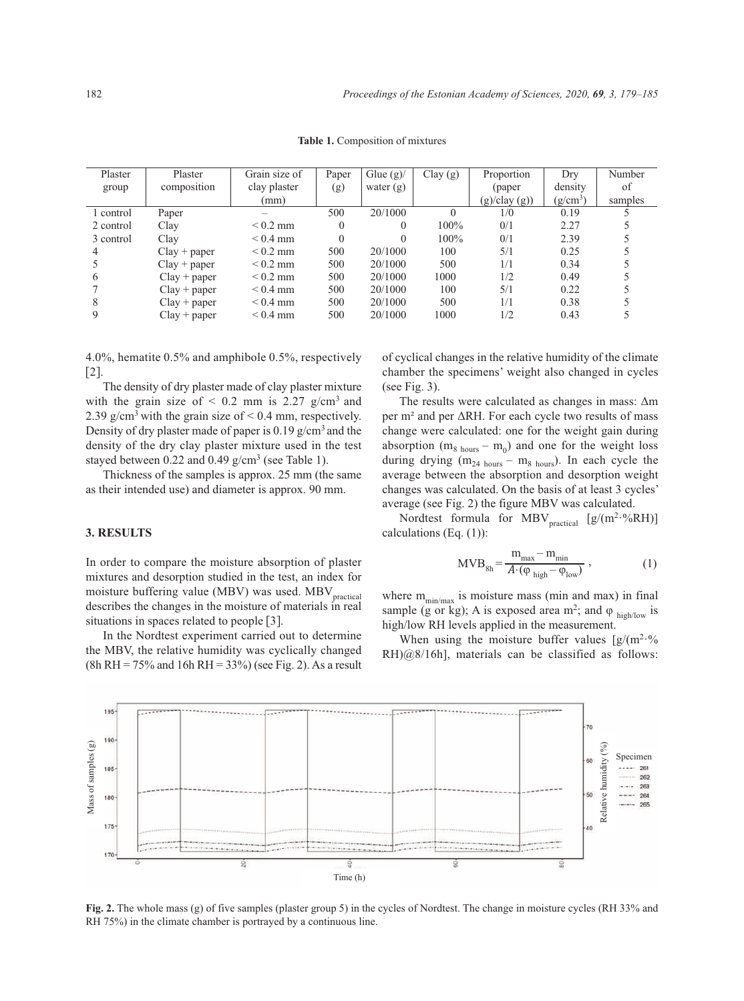| Plaster   | Plaster        | Grain size of | Paper    | Glue $(g)$ / | Clay(g)  | Proportion   | Dry        | Number  |
|-----------|----------------|---------------|----------|--------------|----------|--------------|------------|---------|
| group     | composition    | clay plaster  | (g)      | water $(g)$  |          | (paper)      | density    | of      |
|           |                | (mm)          |          |              |          | (g)/clay(g)) | $(g/cm^3)$ | samples |
| 1 control | Paper          |               | 500      | 20/1000      | $\Omega$ | 1/0          | 0.19       |         |
| 2 control | Clay           | $< 0.2$ mm    | $\theta$ | 0            | $100\%$  | 0/1          | 2.27       |         |
| 3 control | Clay           | $< 0.4$ mm    |          |              | $100\%$  | 0/1          | 2.39       |         |
| 4         | $Clay + paper$ | $< 0.2$ mm    | 500      | 20/1000      | 100      | 5/1          | 0.25       |         |
|           | $Clay + paper$ | $< 0.2$ mm    | 500      | 20/1000      | 500      | 1/1          | 0.34       |         |
| 6         | $Clay + paper$ | $< 0.2$ mm    | 500      | 20/1000      | 1000     | 1/2          | 0.49       |         |
|           | $Clay + paper$ | $< 0.4$ mm    | 500      | 20/1000      | 100      | 5/1          | 0.22       |         |
| 8         | $Clay + paper$ | $< 0.4$ mm    | 500      | 20/1000      | 500      | 1/1          | 0.38       |         |
| 9         | $Clay + paper$ | $< 0.4$ mm    | 500      | 20/1000      | 1000     | 1/2          | 0.43       |         |

**Table 1.** Composition of mixtures

4.0%, hematite 0.5% and amphibole 0.5%, respectively [2].

The density of dry plaster made of clay plaster mixture with the grain size of  $\leq 0.2$  mm is 2.27 g/cm<sup>3</sup> and 2.39 g/cm<sup>3</sup> with the grain size of  $< 0.4$  mm, respectively. Density of dry plaster made of paper is  $0.19$  g/cm<sup>3</sup> and the density of the dry clay plaster mixture used in the test stayed between 0.22 and 0.49  $g/cm^3$  (see Table 1).

Thickness of the samples is approx. 25 mm (the same as their intended use) and diameter is approx. 90 mm.

#### **3. RESULTS**

In order to compare the moisture absorption of plaster mixtures and desorption studied in the test, an index for moisture buffering value (MBV) was used. MBV<sub>practical</sub> describes the changes in the moisture of materials in real situations in spaces related to people [3].

In the Nordtest experiment carried out to determine the MBV, the relative humidity was cyclically changed  $(8h RH = 75\%$  and 16h RH = 33%) (see Fig. 2). As a result of cyclical changes in the relative humidity of the climate chamber the specimens' weight also changed in cycles (see Fig. 3).

The results were calculated as changes in mass: Δm per m² and per ΔRH. For each cycle two results of mass change were calculated: one for the weight gain during absorption ( $m_8$  hours –  $m_0$ ) and one for the weight loss during drying  $(m_{24 \text{ hours}} - m_{8 \text{ hours}})$ . In each cycle the average between the absorption and desorption weight changes was calculated. On the basis of at least 3 cycles' average (see Fig. 2) the figure MBV was calculated.

Nordtest formula for MBV<sub>practical</sub>  $[g/(m^2. %RH)]$ calculations (Eq. (1)):

$$
MVB_{8h} = \frac{m_{\text{max}} - m_{\text{min}}}{A \cdot (\varphi_{\text{ high}} - \varphi_{\text{low}})},
$$
 (1)

where  $m_{\text{min/max}}$  is moisture mass (min and max) in final sample (g or kg); A is exposed area m<sup>2</sup>; and  $\varphi$  high/low is high/low RH levels applied in the measurement.

When using the moisture buffer values  $\left[\frac{g}{m^2} \cdot \frac{9}{6}\right]$ RH)@8/16h], materials can be classified as follows:



**Fig. 2.** The whole mass (g) of five samples (plaster group 5) in the cycles of Nordtest. The change in moisture cycles (RH 33% and RH 75%) in the climate chamber is portrayed by a continuous line.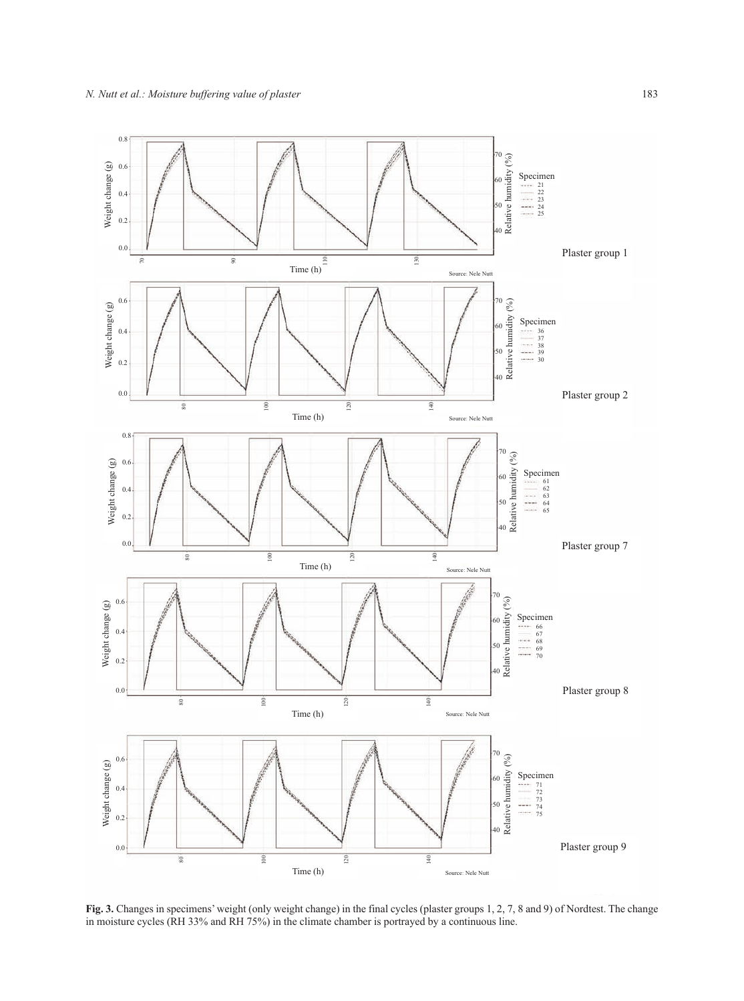

**Fig. 3.** Changes in specimens' weight (only weight change) in the final cycles (plaster groups 1, 2, 7, 8 and 9) of Nordtest. The change in moisture cycles (RH 33% and RH 75%) in the climate chamber is portrayed by a continuous line.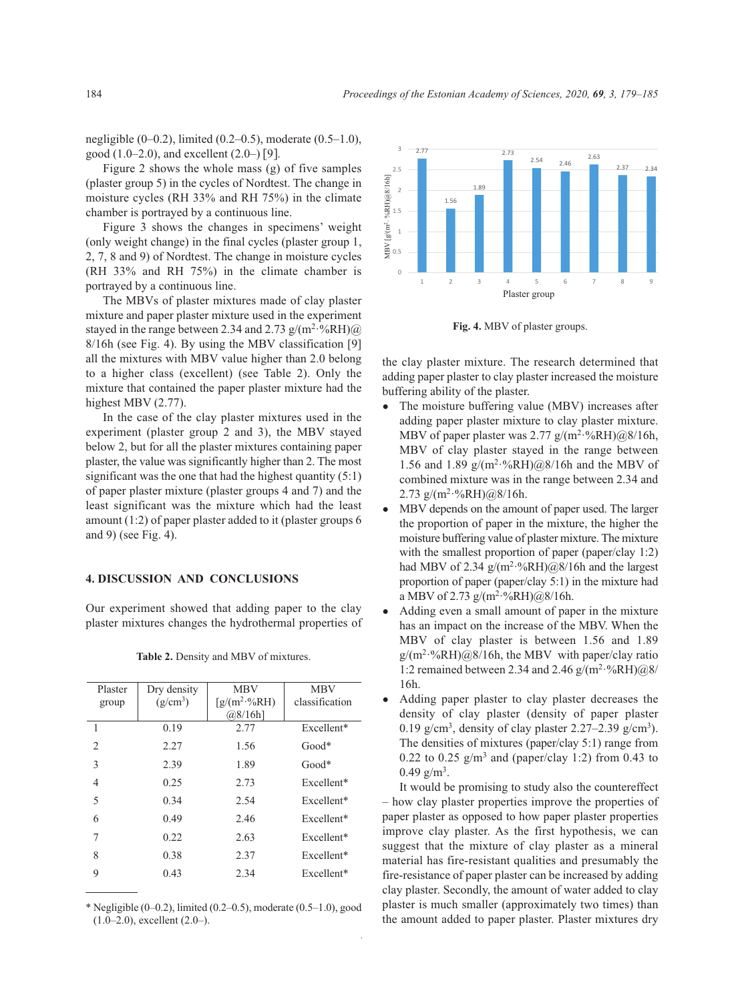negligible  $(0-0.2)$ , limited  $(0.2-0.5)$ , moderate  $(0.5-1.0)$ , good  $(1.0-2.0)$ , and excellent  $(2.0-)$  [9].

Figure 2 shows the whole mass (g) of five samples (plaster group 5) in the cycles of Nordtest. The change in moisture cycles (RH 33% and RH 75%) in the climate chamber is portrayed by a continuous line.

Figure 3 shows the changes in specimens' weight (only weight change) in the final cycles (plaster group 1, 2, 7, 8 and 9) of Nordtest. The change in moisture cycles (RH 33% and RH 75%) in the climate chamber is portrayed by a continuous line.

The MBVs of plaster mixtures made of clay plaster mixture and paper plaster mixture used in the experiment stayed in the range between 2.34 and 2.73  $g/(m^2 \cdot %RH)$  (*a*) 8/16h (see Fig. 4). By using the MBV classification [9] all the mixtures with MBV value higher than 2.0 belong to a higher class (excellent) (see Table 2). Only the mixture that contained the paper plaster mixture had the highest MBV (2.77).

In the case of the clay plaster mixtures used in the experiment (plaster group 2 and 3), the MBV stayed below 2, but for all the plaster mixtures containing paper plaster, the value was significantly higher than 2. The most significant was the one that had the highest quantity  $(5:1)$ of paper plaster mixture (plaster groups 4 and 7) and the least significant was the mixture which had the least amount (1:2) of paper plaster added to it (plaster groups 6 and 9) (see Fig. 4).

### **4. DISCUSSION AND CONCLUSIONS**

Our experiment showed that adding paper to the clay plaster mixtures changes the hydrothermal properties of

| Plaster        | Dry density | <b>MBV</b>      | <b>MBV</b>     |
|----------------|-------------|-----------------|----------------|
| group          | $(g/cm^3)$  | $[g/(m^2.%RH)]$ | classification |
|                |             | $(a)8/16h$ ]    |                |
| $\mathbf{1}$   | 0.19        | 2.77            | Excellent*     |
| $\overline{2}$ | 2.27        | 1.56            | $Good*$        |
| 3              | 2.39        | 1.89            | $Good*$        |
| $\overline{4}$ | 0.25        | 2.73            | Excellent*     |
| 5              | 0.34        | 2.54            | Excellent*     |
| 6              | 0.49        | 2.46            | Excellent*     |
| 7              | 0.22        | 2.63            | Excellent*     |
| 8              | 0.38        | 2.37            | Excellent*     |
| 9              | 0.43        | 2.34            | Excellent*     |

**Table 2.** Density and MBV of mixtures.

\* Negligible (0–0.2), limited (0.2–0.5), moderate (0.5–1.0), good (1.0–2.0), excellent (2.0–).



**Fig. 4.** MBV of plaster groups.

the clay plaster mixture. The research determined that adding paper plaster to clay plaster increased the moisture buffering ability of the plaster.

- The moisture buffering value (MBV) increases after adding paper plaster mixture to clay plaster mixture. MBV of paper plaster was  $2.77$  g/(m<sup>2</sup>·%RH)@8/16h, MBV of clay plaster stayed in the range between 1.56 and 1.89  $g/(m^2 \cdot %RH)(@8/16h)$  and the MBV of combined mixture was in the range between 2.34 and 2.73  $g/(m^2 \cdot %RH)(@8/16h)$ .
- MBV depends on the amount of paper used. The larger the proportion of paper in the mixture, the higher the moisture buffering value of plaster mixture. The mixture with the smallest proportion of paper (paper/clay 1:2) had MBV of 2.34  $g/(m^2 \cdot %RH)@8/16h$  and the largest proportion of paper (paper/clay 5:1) in the mixture had a MBV of 2.73  $g/(m^2 \cdot %RH)@8/16h$ .
- Adding even a small amount of paper in the mixture has an impact on the increase of the MBV. When the MBV of clay plaster is between 1.56 and 1.89  $g/(m^2·%RH)@8/16h$ , the MBV with paper/clay ratio 1:2 remained between 2.34 and 2.46  $g/(m^2 \cdot %RH)/@8/$ 16h.
- Adding paper plaster to clay plaster decreases the density of clay plaster (density of paper plaster 0.19 g/cm<sup>3</sup>, density of clay plaster 2.27–2.39 g/cm<sup>3</sup>). The densities of mixtures (paper/clay 5:1) range from 0.22 to 0.25  $g/m<sup>3</sup>$  and (paper/clay 1:2) from 0.43 to  $0.49$  g/m<sup>3</sup>.

It would be promising to study also the countereffect – how clay plaster properties improve the properties of paper plaster as opposed to how paper plaster properties improve clay plaster. As the first hypothesis, we can suggest that the mixture of clay plaster as a mineral material has fire-resistant qualities and presumably the fire-resistance of paper plaster can be increased by adding clay plaster. Secondly, the amount of water added to clay plaster is much smaller (approximately two times) than the amount added to paper plaster. Plaster mixtures dry